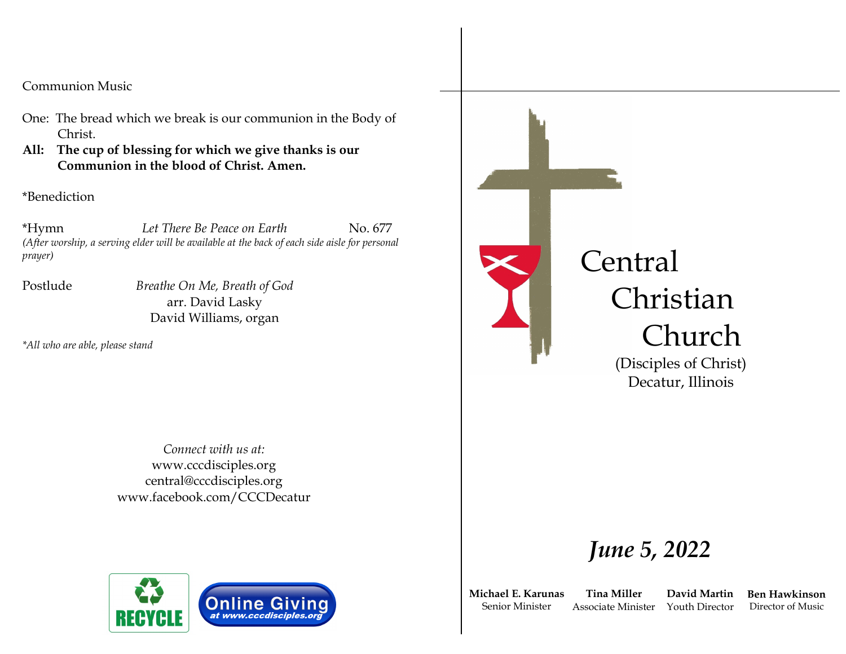Communion Music

- One: The bread which we break is our communion in the Body of Christ.
- **All: The cup of blessing for which we give thanks is our Communion in the blood of Christ. Amen.**

\*Benediction

\*Hymn *Let There Be Peace on Earth* No. 677 *(After worship, a serving elder will be available at the back of each side aisle for personal prayer)*

Postlude *Breathe On Me, Breath of God* arr. David Lasky David Williams, organ

*\*All who are able, please stand*

*Connect with us at:* www.cccdisciples.org central@cccdisciples.org www.facebook.com/CCCDecatur



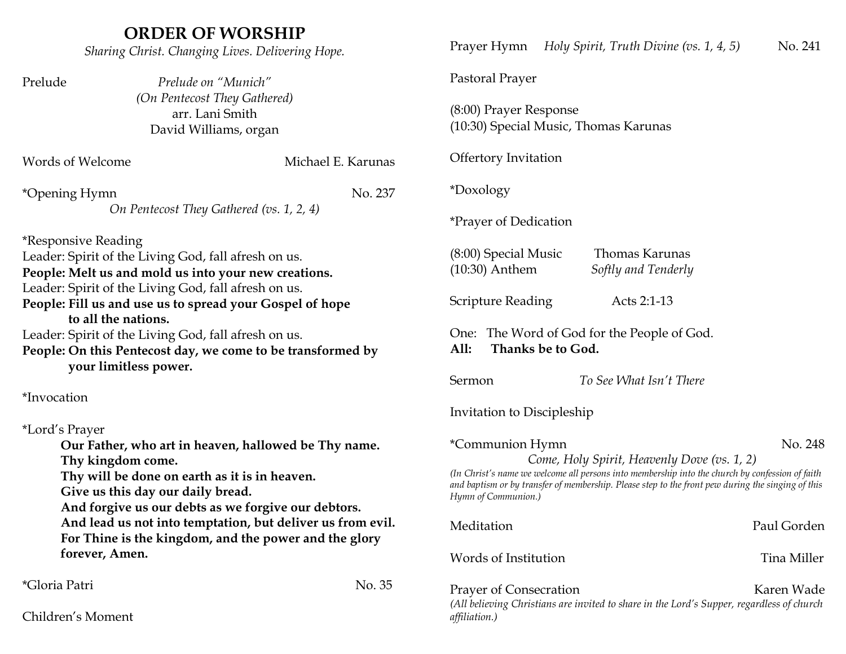| <b>ORDER OF WORSHIP</b><br>Sharing Christ. Changing Lives. Delivering Hope.                                                                                                                                            | Holy Spirit, Truth Divine (vs. 1, 4, 5)<br>No. 241<br>Prayer Hymn                                                                                                                                                                                                                                        |
|------------------------------------------------------------------------------------------------------------------------------------------------------------------------------------------------------------------------|----------------------------------------------------------------------------------------------------------------------------------------------------------------------------------------------------------------------------------------------------------------------------------------------------------|
| Prelude on "Munich"<br>Prelude                                                                                                                                                                                         | Pastoral Prayer                                                                                                                                                                                                                                                                                          |
| (On Pentecost They Gathered)<br>arr. Lani Smith<br>David Williams, organ                                                                                                                                               | (8:00) Prayer Response<br>(10:30) Special Music, Thomas Karunas                                                                                                                                                                                                                                          |
| Michael E. Karunas<br>Words of Welcome                                                                                                                                                                                 | <b>Offertory Invitation</b>                                                                                                                                                                                                                                                                              |
| No. 237<br>*Opening Hymn                                                                                                                                                                                               | *Doxology                                                                                                                                                                                                                                                                                                |
| On Pentecost They Gathered (vs. 1, 2, 4)                                                                                                                                                                               | <i>*Prayer of Dedication</i>                                                                                                                                                                                                                                                                             |
| <i>*Responsive Reading</i><br>Leader: Spirit of the Living God, fall afresh on us.<br>People: Melt us and mold us into your new creations.                                                                             | Thomas Karunas<br>$(8:00)$ Special Music<br>$(10:30)$ Anthem<br>Softly and Tenderly                                                                                                                                                                                                                      |
| Leader: Spirit of the Living God, fall afresh on us.<br>People: Fill us and use us to spread your Gospel of hope<br>to all the nations.                                                                                | Scripture Reading<br>Acts 2:1-13                                                                                                                                                                                                                                                                         |
| Leader: Spirit of the Living God, fall afresh on us.<br>People: On this Pentecost day, we come to be transformed by<br>your limitless power.                                                                           | One: The Word of God for the People of God.<br>Thanks be to God.<br>All:                                                                                                                                                                                                                                 |
| *Invocation                                                                                                                                                                                                            | To See What Isn't There<br>Sermon                                                                                                                                                                                                                                                                        |
| *Lord's Prayer                                                                                                                                                                                                         | Invitation to Discipleship                                                                                                                                                                                                                                                                               |
| Our Father, who art in heaven, hallowed be Thy name.<br>Thy kingdom come.<br>Thy will be done on earth as it is in heaven.<br>Give us this day our daily bread.<br>And forgive us our debts as we forgive our debtors. | *Communion Hymn<br>No. 248<br>Come, Holy Spirit, Heavenly Dove (vs. 1, 2)<br>(In Christ's name we welcome all persons into membership into the church by confession of faith<br>and baptism or by transfer of membership. Please step to the front pew during the singing of this<br>Hymn of Communion.) |
| And lead us not into temptation, but deliver us from evil.<br>For Thine is the kingdom, and the power and the glory                                                                                                    | Paul Gorden<br>Meditation                                                                                                                                                                                                                                                                                |
| forever, Amen.                                                                                                                                                                                                         | Words of Institution<br>Tina Miller                                                                                                                                                                                                                                                                      |
| <i>*Gloria Patri</i><br>No. 35<br>Children's Moment                                                                                                                                                                    | Prayer of Consecration<br>Karen Wade<br>(All believing Christians are invited to share in the Lord's Supper, regardless of church<br>affiliation.)                                                                                                                                                       |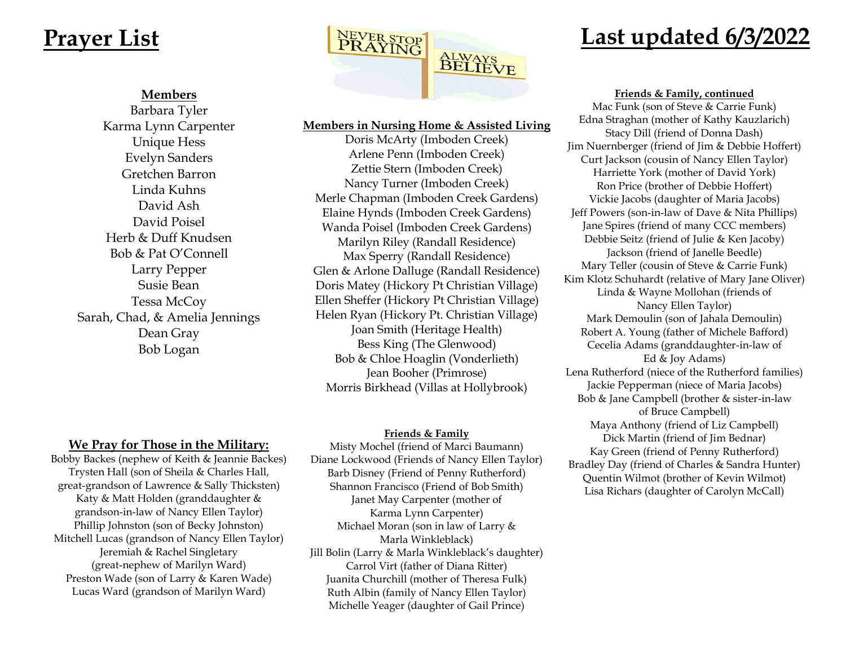#### **Members**

Barbara Tyler Karma Lynn Carpenter Unique Hess Evelyn Sanders Gretchen Barron Linda Kuhns David Ash David Poisel Herb & Duff Knudsen Bob & Pat O'Connell Larry Pepper Susie Bean Tessa McCoy Sarah, Chad, & Amelia Jennings Dean Gray Bob Logan

**We Pray for Those in the Military:** Bobby Backes (nephew of Keith & Jeannie Backes) Trysten Hall (son of Sheila & Charles Hall, great-grandson of Lawrence & Sally Thicksten) Katy & Matt Holden (granddaughter & grandson-in-law of Nancy Ellen Taylor) Phillip Johnston (son of Becky Johnston) Mitchell Lucas (grandson of Nancy Ellen Taylor) Jeremiah & Rachel Singletary (great-nephew of Marilyn Ward) Preston Wade (son of Larry & Karen Wade) Lucas Ward (grandson of Marilyn Ward)



#### **Members in Nursing Home & Assisted Living**

Doris McArty (Imboden Creek) Arlene Penn (Imboden Creek) Zettie Stern (Imboden Creek) Nancy Turner (Imboden Creek) Merle Chapman (Imboden Creek Gardens) Elaine Hynds (Imboden Creek Gardens) Wanda Poisel (Imboden Creek Gardens) Marilyn Riley (Randall Residence) Max Sperry (Randall Residence) Glen & Arlone Dalluge (Randall Residence) Doris Matey (Hickory Pt Christian Village) Ellen Sheffer (Hickory Pt Christian Village) Helen Ryan (Hickory Pt. Christian Village) Joan Smith (Heritage Health) Bess King (The Glenwood) Bob & Chloe Hoaglin (Vonderlieth) Jean Booher (Primrose) Morris Birkhead (Villas at Hollybrook)

#### **Friends & Family**

Misty Mochel (friend of Marci Baumann) Diane Lockwood (Friends of Nancy Ellen Taylor) Barb Disney (Friend of Penny Rutherford) Shannon Francisco (Friend of Bob Smith) Janet May Carpenter (mother of Karma Lynn Carpenter) Michael Moran (son in law of Larry & Marla Winkleblack) Jill Bolin (Larry & Marla Winkleblack's daughter) Carrol Virt (father of Diana Ritter) Juanita Churchill (mother of Theresa Fulk) Ruth Albin (family of Nancy Ellen Taylor) Michelle Yeager (daughter of Gail Prince)

**Friends & Family, continued**

Mac Funk (son of Steve & Carrie Funk) Edna Straghan (mother of Kathy Kauzlarich) Stacy Dill (friend of Donna Dash) Jim Nuernberger (friend of Jim & Debbie Hoffert) Curt Jackson (cousin of Nancy Ellen Taylor) Harriette York (mother of David York) Ron Price (brother of Debbie Hoffert) Vickie Jacobs (daughter of Maria Jacobs) Jeff Powers (son-in-law of Dave & Nita Phillips) Jane Spires (friend of many CCC members) Debbie Seitz (friend of Julie & Ken Jacoby) Jackson (friend of Janelle Beedle) Mary Teller (cousin of Steve & Carrie Funk) Kim Klotz Schuhardt (relative of Mary Jane Oliver) Linda & Wayne Mollohan (friends of Nancy Ellen Taylor) Mark Demoulin (son of Jahala Demoulin) Robert A. Young (father of Michele Bafford) Cecelia Adams (granddaughter-in-law of Ed & Joy Adams) Lena Rutherford (niece of the Rutherford families) Jackie Pepperman (niece of Maria Jacobs) Bob & Jane Campbell (brother & sister-in-law of Bruce Campbell) Maya Anthony (friend of Liz Campbell) Dick Martin (friend of Jim Bednar) Kay Green (friend of Penny Rutherford) Bradley Day (friend of Charles & Sandra Hunter) Quentin Wilmot (brother of Kevin Wilmot) Lisa Richars (daughter of Carolyn McCall)